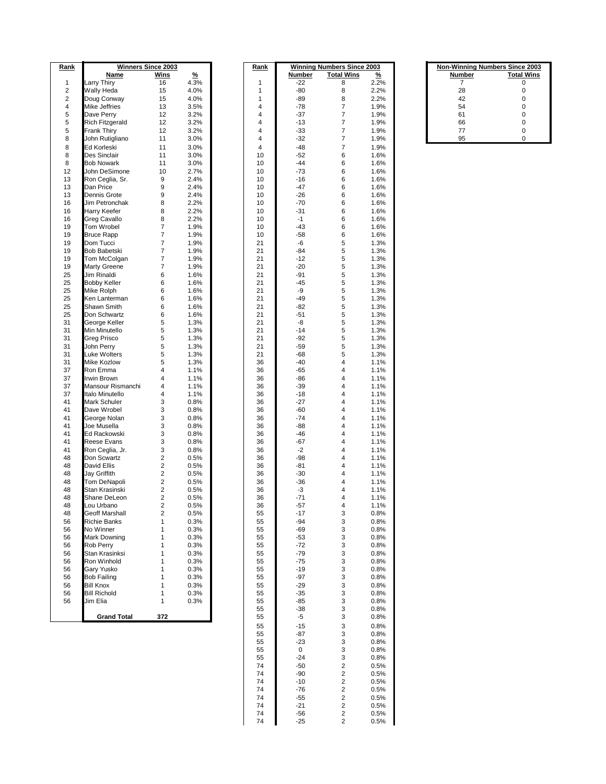|      | <b>Winners Since 2003</b> |                         |               | <b>Winning Numbers Since 2003</b> |                |               | <b>Non-Winning Numbers Since 2003</b> |               |        |                   |
|------|---------------------------|-------------------------|---------------|-----------------------------------|----------------|---------------|---------------------------------------|---------------|--------|-------------------|
| Rank |                           |                         |               |                                   | Rank           |               |                                       |               |        |                   |
|      | Name                      | Wins                    | $\frac{9}{6}$ |                                   |                | <b>Number</b> | <b>Total Wins</b>                     | $\frac{9}{6}$ | Number | <b>Total Wins</b> |
| 1    | Larry Thiry               | 16                      | 4.3%          |                                   | 1              | $-22$         | 8                                     | 2.2%          | 7      | 0                 |
| 2    | Wally Heda                | 15                      | 4.0%          |                                   | 1              | $-80$         | 8                                     | 2.2%          | 28     | 0                 |
| 2    | Doug Conway               | 15                      | 4.0%          |                                   | 1              | -89           | 8                                     | 2.2%          | 42     | 0                 |
| 4    | Mike Jeffries             | 13                      | 3.5%          |                                   | 4              | $-78$         | $\overline{7}$                        | 1.9%          | 54     | 0                 |
| 5    | Dave Perry                | 12                      | 3.2%          |                                   | 4              | $-37$         | 7                                     | 1.9%          | 61     | 0                 |
| 5    | <b>Rich Fitzgerald</b>    | 12                      | 3.2%          |                                   | 4              | $-13$         | 7                                     | 1.9%          | 66     | 0                 |
| 5    | Frank Thiry               | 12                      | 3.2%          |                                   | $\overline{4}$ | $-33$         | $\overline{7}$                        | 1.9%          | 77     | 0                 |
| 8    | John Rutigliano           | 11                      | 3.0%          |                                   | 4              | $-32$         | 7                                     | 1.9%          | 95     | 0                 |
| 8    | <b>Ed Korleski</b>        | 11                      | 3.0%          |                                   | 4              | $-48$         | $\overline{7}$                        | 1.9%          |        |                   |
| 8    | Des Sinclair              |                         |               |                                   | 10             |               |                                       |               |        |                   |
|      |                           | 11                      | 3.0%          |                                   |                | $-52$         | 6                                     | 1.6%          |        |                   |
| 8    | <b>Bob Nowark</b>         | 11                      | 3.0%          |                                   | 10             | $-44$         | 6                                     | 1.6%          |        |                   |
| 12   | John DeSimone             | 10                      | 2.7%          |                                   | 10             | $-73$         | 6                                     | 1.6%          |        |                   |
| 13   | Ron Ceglia, Sr.           | 9                       | 2.4%          |                                   | 10             | $-16$         | 6                                     | 1.6%          |        |                   |
| 13   | Dan Price                 | 9                       | 2.4%          |                                   | 10             | $-47$         | 6                                     | 1.6%          |        |                   |
| 13   | Dennis Grote              | 9                       | 2.4%          |                                   | 10             | $-26$         | 6                                     | 1.6%          |        |                   |
| 16   | Jim Petronchak            | 8                       | 2.2%          |                                   | 10             | $-70$         | 6                                     | 1.6%          |        |                   |
| 16   | <b>Harry Keefer</b>       | 8                       | 2.2%          |                                   | 10             | $-31$         | 6                                     | 1.6%          |        |                   |
| 16   | Greg Cavallo              | 8                       | 2.2%          |                                   | 10             | $-1$          | 6                                     | 1.6%          |        |                   |
| 19   | Tom Wrobel                | 7                       | 1.9%          |                                   | 10             | $-43$         | 6                                     | 1.6%          |        |                   |
| 19   | <b>Bruce Rapp</b>         | 7                       | 1.9%          |                                   | 10             | $-58$         | 6                                     | 1.6%          |        |                   |
|      |                           |                         |               |                                   |                |               |                                       |               |        |                   |
| 19   | Dom Tucci                 | 7                       | 1.9%          |                                   | 21             | -6            | 5                                     | 1.3%          |        |                   |
| 19   | <b>Bob Babetski</b>       | 7                       | 1.9%          |                                   | 21             | $-84$         | 5                                     | 1.3%          |        |                   |
| 19   | Tom McColgan              | 7                       | 1.9%          |                                   | 21             | $-12$         | 5                                     | 1.3%          |        |                   |
| 19   | <b>Marty Greene</b>       | 7                       | 1.9%          |                                   | 21             | $-20$         | 5                                     | 1.3%          |        |                   |
| 25   | Jim Rinaldi               | 6                       | 1.6%          |                                   | 21             | $-91$         | 5                                     | 1.3%          |        |                   |
| 25   | <b>Bobby Keller</b>       | 6                       | 1.6%          |                                   | 21             | $-45$         | 5                                     | 1.3%          |        |                   |
| 25   | Mike Rolph                | 6                       | 1.6%          |                                   | 21             | -9            | 5                                     | 1.3%          |        |                   |
| 25   | Ken Lanterman             | 6                       |               |                                   | 21             | $-49$         | 5                                     | 1.3%          |        |                   |
|      |                           |                         | 1.6%          |                                   |                |               |                                       |               |        |                   |
| 25   | Shawn Smith               | 6                       | 1.6%          |                                   | 21             | $-82$         | 5                                     | 1.3%          |        |                   |
| 25   | Don Schwartz              | 6                       | 1.6%          |                                   | 21             | $-51$         | 5                                     | 1.3%          |        |                   |
| 31   | George Keller             | 5                       | 1.3%          |                                   | 21             | -8            | 5                                     | 1.3%          |        |                   |
| 31   | Min Minutello             | 5                       | 1.3%          |                                   | 21             | $-14$         | 5                                     | 1.3%          |        |                   |
| 31   | Greg Prisco               | 5                       | 1.3%          |                                   | 21             | $-92$         | 5                                     | 1.3%          |        |                   |
| 31   | John Perry                | 5                       | 1.3%          |                                   | 21             | $-59$         | 5                                     | 1.3%          |        |                   |
| 31   | Luke Wolters              | 5                       | 1.3%          |                                   | 21             | $-68$         | 5                                     | 1.3%          |        |                   |
| 31   | Mike Kozlow               | 5                       | 1.3%          |                                   | 36             | $-40$         | 4                                     | 1.1%          |        |                   |
| 37   | Ron Emma                  | 4                       | 1.1%          |                                   | 36             | $-65$         | 4                                     | 1.1%          |        |                   |
| 37   | Irwin Brown               | 4                       |               |                                   | 36             |               | 4                                     |               |        |                   |
|      |                           |                         | 1.1%          |                                   |                | -86           |                                       | 1.1%          |        |                   |
| 37   | Mansour Rismanchi         | 4                       | 1.1%          |                                   | 36             | $-39$         | 4                                     | 1.1%          |        |                   |
| 37   | Italo Minutello           | 4                       | 1.1%          |                                   | 36             | $-18$         | 4                                     | 1.1%          |        |                   |
| 41   | <b>Mark Schuler</b>       | 3                       | 0.8%          |                                   | 36             | $-27$         | 4                                     | 1.1%          |        |                   |
| 41   | Dave Wrobel               | 3                       | 0.8%          |                                   | 36             | $-60$         | 4                                     | 1.1%          |        |                   |
| 41   | George Nolan              | 3                       | 0.8%          |                                   | 36             | $-74$         | 4                                     | 1.1%          |        |                   |
| 41   | Joe Musella               | 3                       | 0.8%          |                                   | 36             | $-88$         | 4                                     | 1.1%          |        |                   |
| 41   | Ed Rackowski              | 3                       | 0.8%          |                                   | 36             | $-46$         | 4                                     | 1.1%          |        |                   |
| 41   | <b>Reese Evans</b>        | 3                       | 0.8%          |                                   | 36             | $-67$         | 4                                     | 1.1%          |        |                   |
| 41   | Ron Ceglia, Jr.           | 3                       | 0.8%          |                                   | 36             | $-2$          | 4                                     | 1.1%          |        |                   |
| 48   | Don Scwartz               | 2                       |               |                                   | 36             | $-98$         | 4                                     |               |        |                   |
|      |                           |                         | 0.5%          |                                   |                |               |                                       | 1.1%          |        |                   |
| 48   | David Ellis               | $\overline{\mathbf{c}}$ | 0.5%          |                                   | 36             | -81           | 4                                     | 1.1%          |        |                   |
| 48   | Jay Griffith              | 2                       | 0.5%          |                                   | 36             | $-30$         | 4                                     | 1.1%          |        |                   |
| 48   | Tom DeNapoli              | $\overline{\mathbf{c}}$ | 0.5%          |                                   | 36             | $-36$         | 4                                     | 1.1%          |        |                   |
| 48   | Stan Krasinski            | 2                       | 0.5%          |                                   | 36             | $-3$          | 4                                     | 1.1%          |        |                   |
| 48   | Shane DeLeon              | $\overline{2}$          | 0.5%          |                                   | 36             | $-71$         | 4                                     | 1.1%          |        |                   |
| 48   | Lou Urbano                | 2                       | 0.5%          |                                   | 36             | -57           | 4                                     | 1.1%          |        |                   |
| 48   | <b>Geoff Marshall</b>     | 2                       | 0.5%          |                                   | 55             | $-17$         | 3                                     | 0.8%          |        |                   |
| 56   | <b>Richie Banks</b>       | 1                       | 0.3%          |                                   | 55             | $-94$         | 3                                     | 0.8%          |        |                   |
| 56   | No Winner                 | 1                       | 0.3%          |                                   | 55             | $-69$         | 3                                     | 0.8%          |        |                   |
|      |                           | 1                       |               |                                   | 55             |               |                                       |               |        |                   |
| 56   | Mark Downing              |                         | 0.3%          |                                   |                | $-53$         | 3                                     | 0.8%          |        |                   |
| 56   | Rob Perry                 | 1                       | 0.3%          |                                   | 55             | $-72$         | 3                                     | 0.8%          |        |                   |
| 56   | Stan Krasinksi            | 1                       | 0.3%          |                                   | 55             | $-79$         | 3                                     | 0.8%          |        |                   |
| 56   | Ron Winhold               | 1                       | 0.3%          |                                   | 55             | $-75$         | 3                                     | 0.8%          |        |                   |
| 56   | Gary Yusko                | 1                       | 0.3%          |                                   | 55             | $-19$         | 3                                     | 0.8%          |        |                   |
| 56   | <b>Bob Failing</b>        | 1                       | 0.3%          |                                   | 55             | $-97$         | 3                                     | 0.8%          |        |                   |
| 56   | <b>Bill Knox</b>          | 1                       | 0.3%          |                                   | 55             | $-29$         | 3                                     | 0.8%          |        |                   |
| 56   | <b>Bill Richold</b>       | 1                       | 0.3%          |                                   | 55             | $-35$         | 3                                     | 0.8%          |        |                   |
| 56   | Jim Elia                  | $\mathbf{1}$            | 0.3%          |                                   | 55             | $-85$         | 3                                     | 0.8%          |        |                   |
|      |                           |                         |               |                                   | 55             | $-38$         | 3                                     | 0.8%          |        |                   |
|      |                           |                         |               |                                   |                |               |                                       |               |        |                   |
|      | <b>Grand Total</b>        | 372                     |               |                                   | 55             | -5            | 3                                     | 0.8%          |        |                   |
|      |                           |                         |               |                                   | 55             | $-15$         | 3                                     | 0.8%          |        |                   |

| <u>ank</u>     | <b>Winning Numbers</b><br>2003<br>Since |                   |                       |  |  |  |  |  |
|----------------|-----------------------------------------|-------------------|-----------------------|--|--|--|--|--|
|                | <u>Number</u>                           | <b>Total Wins</b> | $\frac{9}{6}$<br>2.2% |  |  |  |  |  |
| 1<br>1         | -22<br>-80                              | 8<br>8            | 2.2%                  |  |  |  |  |  |
| 1              | -89                                     | 8                 | 2.2%                  |  |  |  |  |  |
| 4              | -78                                     | 7                 | 1.9%                  |  |  |  |  |  |
| 4              | -37                                     | 7                 | 1.9%                  |  |  |  |  |  |
| 4              | -13                                     | 7                 | 1.9%                  |  |  |  |  |  |
| $\overline{4}$ | $-33$                                   | 7                 | 1.9%                  |  |  |  |  |  |
| 4              | -32                                     | 7                 | 1.9%                  |  |  |  |  |  |
| 4              | -48                                     | 7                 | 1.9%                  |  |  |  |  |  |
| 10             | $-52$                                   | 6                 | 1.6%                  |  |  |  |  |  |
| 10             | $-44$                                   | 6                 | 1.6%                  |  |  |  |  |  |
| 10             | $-73$                                   | 6                 | 1.6%                  |  |  |  |  |  |
| 10             | $-16$                                   | 6                 | 1.6%                  |  |  |  |  |  |
| 10             | -47                                     | 6                 | 1.6%                  |  |  |  |  |  |
| 10             | -26                                     | 6                 | 1.6%                  |  |  |  |  |  |
| 10<br>10       | -70<br>-31                              | 6<br>6            | 1.6%<br>1.6%          |  |  |  |  |  |
| 10             | $-1$                                    | 6                 | 1.6%                  |  |  |  |  |  |
| 10             | -43                                     | 6                 | 1.6%                  |  |  |  |  |  |
| 10             | -58                                     | 6                 | 1.6%                  |  |  |  |  |  |
| 21             | -6                                      | 5                 | 1.3%                  |  |  |  |  |  |
| 21             | $-84$                                   | 5                 | 1.3%                  |  |  |  |  |  |
| 21             | -12                                     | 5                 | 1.3%                  |  |  |  |  |  |
| 21             | $-20$                                   | 5                 | 1.3%                  |  |  |  |  |  |
| 21             | $-91$                                   | 5                 | 1.3%                  |  |  |  |  |  |
| 21             | $-45$                                   | 5                 | 1.3%                  |  |  |  |  |  |
| 21             | -9                                      | 5                 | 1.3%                  |  |  |  |  |  |
| 21             | -49                                     | 5                 | 1.3%                  |  |  |  |  |  |
| 21             | $-82$                                   | 5                 | 1.3%                  |  |  |  |  |  |
| 21<br>21       | $-51$<br>-8                             | 5<br>5            | 1.3%<br>1.3%          |  |  |  |  |  |
| 21             | -14                                     | 5                 | 1.3%                  |  |  |  |  |  |
| 21             | $-92$                                   | 5                 | 1.3%                  |  |  |  |  |  |
| 21             | $-59$                                   | 5                 | 1.3%                  |  |  |  |  |  |
| 21             | $-68$                                   | 5                 | 1.3%                  |  |  |  |  |  |
| 36             | $-40$                                   | 4                 | 1.1%                  |  |  |  |  |  |
| 36             | -65                                     | 4                 | 1.1%                  |  |  |  |  |  |
| 36             | -86                                     | 4                 | 1.1%                  |  |  |  |  |  |
| 36             | $-39$                                   | 4                 | 1.1%                  |  |  |  |  |  |
| 36             | $-18$                                   | 4                 | 1.1%                  |  |  |  |  |  |
| 36             | -27                                     | 4                 | 1.1%                  |  |  |  |  |  |
| 36             | $-60$                                   | 4                 | 1.1%                  |  |  |  |  |  |
| 36<br>36       | -74<br>$-88$                            | 4<br>4            | 1.1%<br>1.1%          |  |  |  |  |  |
| 36             | $-46$                                   | 4                 | 1.1%                  |  |  |  |  |  |
| 36             | -67                                     | 4                 | 1.1%                  |  |  |  |  |  |
| 36             | -2                                      | 4                 | 1.1%                  |  |  |  |  |  |
| 36             | $-98$                                   | 4                 | 1.1%                  |  |  |  |  |  |
| 36             | -81                                     | 4                 | 1.1%                  |  |  |  |  |  |
| 36             | $-30$                                   | 4                 | 1.1%                  |  |  |  |  |  |
| 36             | -36                                     | 4                 | 1.1%                  |  |  |  |  |  |
| 36             | -3                                      | 4                 | 1.1%                  |  |  |  |  |  |
| 36             | -71                                     | 4                 | 1.1%                  |  |  |  |  |  |
| 36             | -57                                     | 4                 | 1.1%                  |  |  |  |  |  |
| 55             | -17                                     | 3                 | 0.8%                  |  |  |  |  |  |
| 55             | -94                                     | 3<br>3            | 0.8%                  |  |  |  |  |  |
| 55<br>55       | $-69$<br>-53                            | 3                 | 0.8%<br>$0.8\%$       |  |  |  |  |  |
| 55             | -72                                     | 3                 | 0.8%                  |  |  |  |  |  |
| 55             | -79                                     | 3                 | 0.8%                  |  |  |  |  |  |
| 55             | -75                                     | 3                 | 0.8%                  |  |  |  |  |  |
| 55             | $-19$                                   | 3                 | 0.8%                  |  |  |  |  |  |
| 55             | -97                                     | 3                 | 0.8%                  |  |  |  |  |  |
| 55             | $-29$                                   | 3                 | 0.8%                  |  |  |  |  |  |
| 55             | -35                                     | 3                 | 0.8%                  |  |  |  |  |  |
| 55             | -85                                     | 3                 | 0.8%                  |  |  |  |  |  |
| 55             | -38                                     | 3                 | 0.8%                  |  |  |  |  |  |
| 55             | -5                                      | 3                 | $0.8\%$               |  |  |  |  |  |
| 55             | -15                                     | 3                 | 0.8%                  |  |  |  |  |  |
| 55             | $-87$                                   | 3                 | 0.8%                  |  |  |  |  |  |
| 55             | -23                                     | 3                 | 0.8%                  |  |  |  |  |  |
| 55<br>55       | 0<br>$-24$                              | 3<br>3            | $0.8\%$<br>0.8%       |  |  |  |  |  |
| 74             | $-50$                                   | 2                 | 0.5%                  |  |  |  |  |  |
| 74             | -90                                     | 2                 | 0.5%                  |  |  |  |  |  |
| 74             | -10                                     | 2                 | 0.5%                  |  |  |  |  |  |
| 74             | -76                                     | 2                 | 0.5%                  |  |  |  |  |  |
| 74             | -55                                     | 2                 | 0.5%                  |  |  |  |  |  |
| 74             | -21                                     | 2                 | 0.5%                  |  |  |  |  |  |
| 74             | -56                                     | 2                 | 0.5%                  |  |  |  |  |  |
| 74             | -25                                     | 2                 | 0.5%                  |  |  |  |  |  |

| <b>Non-Winning Numbers Since 2003</b> |                   |  |  |
|---------------------------------------|-------------------|--|--|
| <b>Number</b>                         | <b>Total Wins</b> |  |  |
|                                       | 0                 |  |  |
| 28                                    | 0                 |  |  |
| 42                                    | 0                 |  |  |
| 54                                    | $\Omega$          |  |  |
| 61                                    | 0                 |  |  |
| 66                                    | 0                 |  |  |
| 77                                    | 0                 |  |  |
| <b>OF</b>                             | n                 |  |  |